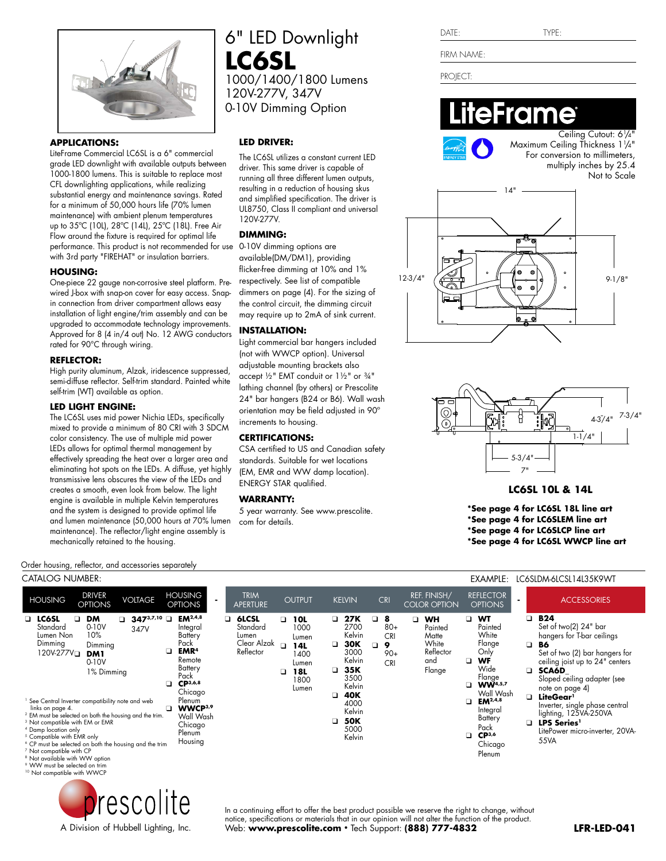

### **APPLICATIONS:**

LiteFrame Commercial LC6SL is a 6" commercial grade LED downlight with available outputs between 1000-1800 lumens. This is suitable to replace most CFL downlighting applications, while realizing substantial energy and maintenance savings. Rated for a minimum of 50,000 hours life (70% lumen maintenance) with ambient plenum temperatures up to 35ºC (10L), 28ºC (14L), 25ºC (18L). Free Air Flow around the fixture is required for optimal life performance. This product is not recommended for use with 3rd party "FIREHAT" or insulation barriers.

### **HOUSING:**

One-piece 22 gauge non-corrosive steel platform. Prewired J-box with snap-on cover for easy access. Snapin connection from driver compartment allows easy installation of light engine/trim assembly and can be upgraded to accommodate technology improvements. Approved for 8 (4 in/4 out) No. 12 AWG conductors rated for 90°C through wiring.

### **REFLECTOR:**

High purity aluminum, Alzak, iridescence suppressed, semi-diffuse reflector. Self-trim standard. Painted white self-trim (WT) available as option.

### **LED LIGHT ENGINE:**

The LC6SL uses mid power Nichia LEDs, specifically mixed to provide a minimum of 80 CRI with 3 SDCM color consistency. The use of multiple mid power LEDs allows for optimal thermal management by effectively spreading the heat over a larger area and eliminating hot spots on the LEDs. A diffuse, yet highly transmissive lens obscures the view of the LEDs and creates a smooth, even look from below. The light engine is available in multiple Kelvin temperatures and the system is designed to provide optimal life and lumen maintenance (50,000 hours at 70% lumen maintenance). The reflector/light engine assembly is mechanically retained to the housing.

6" LED Downlight **LC6SL** 1000/1400/1800 Lumens 120V-277V, 347V 0-10V Dimming Option

## **LED DRIVER:**

The LC6SL utilizes a constant current LED driver. This same driver is capable of running all three different lumen outputs, resulting in a reduction of housing skus and simplified specification. The driver is UL8750, Class II compliant and universal 120V-277V.

### **DIMMING:**

0-10V dimming options are available(DM/DM1), providing flicker-free dimming at 10% and 1% respectively. See list of compatible dimmers on page (4). For the sizing of the control circuit, the dimming circuit may require up to 2mA of sink current.

### **INSTALLATION:**

Light commercial bar hangers included (not with WWCP option). Universal adjustable mounting brackets also accept ½" EMT conduit or 1½" or ¾" lathing channel (by others) or Prescolite 24" bar hangers (B24 or B6). Wall wash orientation may be field adjusted in 90º increments to housing.

### **CERTIFICATIONS:**

CSA certified to US and Canadian safety standards. Suitable for wet locations (EM, EMR and WW damp location). ENERGY STAR qualified.

### **WARRANTY:**

5 year warranty. See www.prescolite. com for details.

|  | TVDF<br>۲۲۰ |
|--|-------------|
|  |             |

FIRM NAME:

PROJECT:

 $DATF:$ 

# eFrame



Ceiling Cutout: 61/4" Maximum Ceiling Thickness 11 /4" For conversion to millimeters, multiply inches by 25.4 Not to Scale





# **LC6SL 10L & 14L**

**\*See page 4 for LC6SL 18L line art**

- **\*See page 4 for LC6SLEM line art**
- **\*See page 4 for LC6SLCP line art**

**\*See page 4 for LC6SL WWCP line art**

### Order housing, reflector, and accessories separately

| CATALOG NUMBER:                                                                                                                                                                                                                                                                                                                                                                                                                                                                                                                                                                                                                                                                                                                         |                                                                                                                                                                                                            |                                                                         |                                                                                     |                                                                                                                                                                                                           | EXAMPLE:                                                                                                                                                                                                                                                                                                   | LC6SLDM-6LCSL14L35K9WT                                                                                                                                                                                                                                                                                                                                                                            |
|-----------------------------------------------------------------------------------------------------------------------------------------------------------------------------------------------------------------------------------------------------------------------------------------------------------------------------------------------------------------------------------------------------------------------------------------------------------------------------------------------------------------------------------------------------------------------------------------------------------------------------------------------------------------------------------------------------------------------------------------|------------------------------------------------------------------------------------------------------------------------------------------------------------------------------------------------------------|-------------------------------------------------------------------------|-------------------------------------------------------------------------------------|-----------------------------------------------------------------------------------------------------------------------------------------------------------------------------------------------------------|------------------------------------------------------------------------------------------------------------------------------------------------------------------------------------------------------------------------------------------------------------------------------------------------------------|---------------------------------------------------------------------------------------------------------------------------------------------------------------------------------------------------------------------------------------------------------------------------------------------------------------------------------------------------------------------------------------------------|
| <b>DRIVER</b><br><b>VOLTAGE</b><br><b>HOUSING</b><br><b>OPTIONS</b>                                                                                                                                                                                                                                                                                                                                                                                                                                                                                                                                                                                                                                                                     | <b>HOUSING</b><br>$\blacksquare$<br><b>OPTIONS</b>                                                                                                                                                         | <b>TRIM</b><br>APERTURE                                                 | <b>OUTPUT</b>                                                                       | <b>CRI</b><br><b>KELVIN</b>                                                                                                                                                                               | <b>REFLECTOR</b><br><b>REF. FINISH/</b><br><b>COLOR OPTION</b><br><b>OPTIONS</b>                                                                                                                                                                                                                           | <b>ACCESSORIES</b>                                                                                                                                                                                                                                                                                                                                                                                |
| $\Box$ LC6SL<br><b>DM</b><br>$347^{3,7,10}$<br>$\Box$<br>□<br>$0-10V$<br>Standard<br>347V<br>10%<br>Lumen Non<br>Dimming<br>Dimming<br>120V-277V <sub>D</sub><br><b>DM1</b><br>$0-10V$<br>1% Dimming<br><sup>1</sup> See Central Inverter compatibility note and web<br>links on page 4.<br><sup>2</sup> EM must be selected on both the housing and the trim.<br><sup>3</sup> Not compatible with EM or EMR<br><sup>4</sup> Damp location only<br><sup>5</sup> Compatible with EMR only<br><sup>6</sup> CP must be selected on both the housing and the trim<br><sup>7</sup> Not compatible with CP<br><sup>8</sup> Not available with WW option<br><sup>9</sup> WW must be selected on trim<br><sup>10</sup> Not compatible with WWCP | $EM^{2,4,8}$<br>Integral<br>Battery<br>Pack<br>EMR <sup>4</sup><br>Remote<br>Battery<br>Pack<br>$CP^{3,6,8}$<br>Chicago<br>Plenum<br>WWCP <sup>3,9</sup><br>□<br>Wall Wash<br>Chicago<br>Plenum<br>Housing | 6LCSL<br>$\Box$<br>Standard<br>Lumen<br>Clear Alzak $\Box$<br>Reflector | □<br>10L<br>□<br>1000<br>Lumen<br>14L<br>1400<br>Lumen<br>18L<br>◻<br>1800<br>Lumen | <b>27K</b><br>8<br>❏<br>2700<br>$80+$<br>Kelvin<br><b>CRI</b><br>30K<br>9<br>❏<br>3000<br>$90+$<br>Kelvin<br><b>CRI</b><br>35K<br>3500<br>Kelvin<br>40K<br>4000<br>Kelvin<br><b>50K</b><br>5000<br>Kelvin | <b>WT</b><br><b>WH</b><br>$\Box$<br>▫<br>Painted<br>Painted<br>White<br>Matte<br>White<br>Flange<br>Reflector<br>Only<br>WF<br>and<br>Wide<br>Flange<br>Flange<br><b>WW4,5,7</b><br>Wall Wash<br>$EM^{2,4,8}$<br>$\Box$<br>Integral<br>Battery<br>Pack<br>CP <sup>3,6</sup><br>$\Box$<br>Chicago<br>Plenum | <b>B24</b><br>▫<br>Set of two(2) 24" bar<br>hangers for T-bar ceilings<br>o.<br>B6<br>Set of two (2) bar hangers for<br>ceiling joist up to 24" centers<br><b>SCA6D</b><br>▫<br>Sloped ceiling adapter (see<br>note on page 4)<br>LiteGear <sup>1</sup><br>▫<br>Inverter, single phase central<br>lighting, 125VA-250VA<br><b>LPS Series</b><br>$\Box$<br>LitePower micro-inverter, 20VA-<br>55VA |



In a continuing effort to offer the best product possible we reserve the right to change, without notice, specifications or materials that in our opinion will not alter the function of the product. Web: **www.prescolite.com** • Tech Support: **(888) 777-4832**

A Division of Hubbell Lighting, Inc.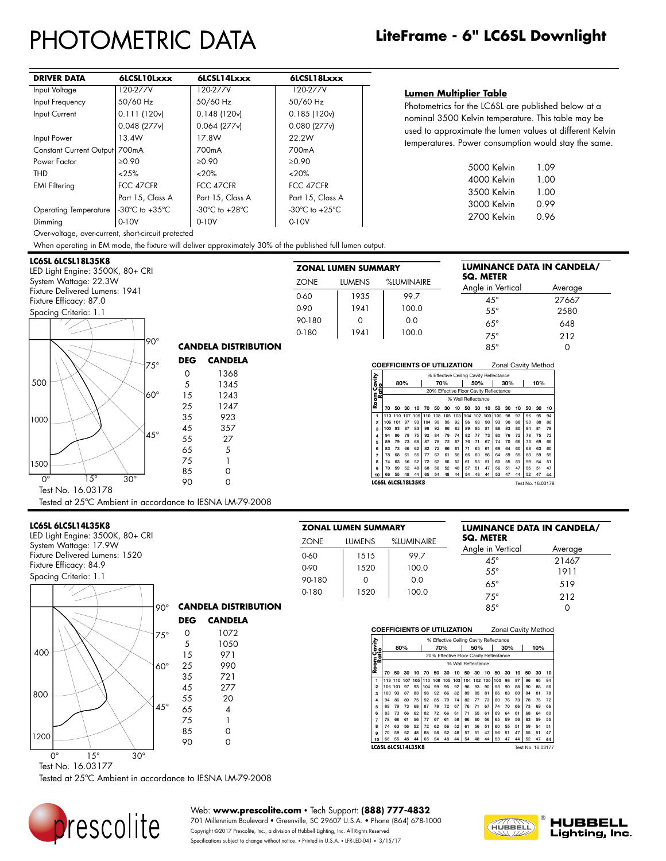# PHOTOMETRIC DATA

| <b>DRIVER DATA</b>            | 6LCSL10Lxxx                          | 6LCSL14Lxxx                        | 6LCSL18Lxxx                          |
|-------------------------------|--------------------------------------|------------------------------------|--------------------------------------|
| Input Voltage                 | 120-277V                             | 120-277V                           | 120-277V                             |
| Input Frequency               | 50/60 Hz                             | 50/60 Hz                           | 50/60 Hz                             |
| Input Current                 | 0.111(120v)                          | 0.148(120v)                        | 0.185(120v)                          |
|                               | $0.048$ (277 $v$ )                   | $0.064$ (277 $v$ )                 | $0.080$ (277 $v$ )                   |
| Input Power                   | 13.4W                                | 17.8W                              | 22.2W                                |
| Constant Current Output 700mA |                                      | 700 <sub>m</sub> A                 | 700 <sub>m</sub> A                   |
| Power Factor                  | >0.90                                | $\ge 0.90$                         | >0.90                                |
| THD                           | < 25%                                | <20%                               | $~120\%$                             |
| <b>EMI Filtering</b>          | FCC 47CFR                            | FCC 47CFR                          | FCC 47CFR                            |
|                               | Part 15, Class A                     | Part 15, Class A                   | Part 15, Class A                     |
| <b>Operating Temperature</b>  | -30 $^{\circ}$ C to +35 $^{\circ}$ C | -30 $\degree$ C to +28 $\degree$ C | -30 $^{\circ}$ C to +25 $^{\circ}$ C |
| Dimming                       | $0-10V$                              | 0-10V                              | 0-10V                                |

### **Lumen Multiplier Table**

Photometrics for the LC6SL are published below at a nominal 3500 Kelvin temperature. This table may be used to approximate the lumen values at different Kelvin temperatures. Power consumption would stay the same.

| 5000 Kelvin | 1.09 |
|-------------|------|
|             |      |
| 4000 Kelvin | 1.00 |
| 3500 Kelvin | 1.00 |
| 3000 Kelvin | 0.99 |
| 2700 Kelvin | 0.96 |
|             |      |

Over-voltage, over-current, short-circuit protected

When operating in EM mode, the fixture will deliver approximately 30% of the published full lumen output. NOTE: DATA SHOWN IS ABSOLUTE FOR THE SAMPLE PROVIDED.

### **LC6SL 6LCSL18L35K8**

LED Light Engine: 3500K, 80+ CRI System Wattage: 22.3W Fixture Delivered Lumens: 1941 Fixture Efficacy: 87.0 Spacing Criteria: 1.1

|           | ZONAL LUMEN SUMMARY |            | LUMINANCE DATA IN CANDELA/<br><b>SQ. METER</b> |         |
|-----------|---------------------|------------|------------------------------------------------|---------|
| ZONE      | <b>LUMENS</b>       | %LUMINAIRE | Angle in Vertical                              | Average |
| 0-60      | 1935                | 99.7       | $45^{\circ}$                                   | 27667   |
| 0-90      | 1941                | 100.0      | $55^{\circ}$                                   | 2580    |
| 90-180    | 0                   | 0.0        | $65^\circ$                                     | 648     |
| $0 - 180$ | 1941                | 100.0      | $75^\circ$                                     | 212     |
|           |                     |            | $85^\circ$                                     |         |

**COEFFICIENTS OF UTILIZATION** Zonal Cavity Method

**70 50 30 10 70 50 30 10 50 30 10 50 30 10 50 30 10 1** 113 110 107 105 110 108 105 103 104 102 100 100 98 97 96 95 94 **2** 106 101 97 93 104 99 95 92 96 93 90 93 90 88 90 88 86 **3** 100 93 87 83 98 92 86 82 89 85 81 86 83 80 84 81 78 **4** 94 86 79 75 92 84 79 74 82 77 73 80 76 72 78 75 72 **5** 89 79 73 68 87 78 72 67 76 71 67 74 70 66 73 69 66 **6** 83 73 66 62 82 72 66 61 71 65 61 69 64 60 68 63 60 **7** 78 68 61 56 77 67 61 56 66 60 56 64 59 55 63 59 55 **8** 74 63 56 52 72 62 56 52 61 55 51 60 55 51 59 54 51 **9** 70 59 52 48 68 58 52 48 57 51 47 56 51 47 55 51 47 **10** 66 55 48 44 65 54 48 44 54 48 44 53 47 44 52 47 44

**LC6SL 6LCSL18L35K8** Test No. 16.03178

% Effective Ceiling Cavity Reflectance **80% 70% 50% 30% 10%** 20% Effective Floor Cavity Reflectance % Wall Reflectance

**Room Cavity** 

|             |                                                          | $90^{\circ}$ |            | <b>CANDELA DISTRIBUTION</b> |  |
|-------------|----------------------------------------------------------|--------------|------------|-----------------------------|--|
|             |                                                          | $75^\circ$   | <b>DEG</b> | <b>CANDELA</b>              |  |
|             |                                                          |              | $\Omega$   | 1368                        |  |
| 500         |                                                          |              | 5          | 1345                        |  |
|             |                                                          | $160^\circ$  | 15         | 1243                        |  |
|             |                                                          |              | 25         | 1247                        |  |
| 1000        |                                                          |              | 35         | 923                         |  |
|             |                                                          |              | 45         | 357                         |  |
|             |                                                          | $45^\circ$   | 55         | 27                          |  |
|             |                                                          |              | 65         | 5                           |  |
| 1500        |                                                          |              | 75         |                             |  |
|             |                                                          |              | 85         | 0                           |  |
| $O^{\circ}$ | $15^{\circ}$                                             | $30^\circ$   | 90         | 0                           |  |
|             | Test No. 16.03178                                        |              |            |                             |  |
|             | Tested at 25°C Ambient in accordance to IESNA LM-79-2008 |              |            |                             |  |

#### **LC6SL 6LCSL14L35K8**

LED Light Engine: 3500K, 80+ CRI System Wattage: 17.9W Fixture Delivered Lumens: 1520 Fixture Efficacy: 84.9 Spacing Criteria: 1.1



Tested at 25ºC Ambient in accordance to IESNA LM-79-2008



Web: **www.prescolite.com** • Tech Support: **(888) 777-4832**

701 Millennium Boulevard • Greenville, SC 29607 U.S.A. • Phone (864) 678-1000 Copyright ©2017 Prescolite, Inc., a division of Hubbell Lighting, Inc. All Rights Reserved Specifications subject to change without notice. • Printed in U.S.A. • LFR-LED-041 • 3/15/17

| –<br>R<br>:RFI<br>u.<br>۱. |
|----------------------------|
|                            |

85° 0



|        | ZONAL LUMEN SUMMARY |            | <b>LUMINANCE DATA IN CANDELA/</b> |         |  |  |  |
|--------|---------------------|------------|-----------------------------------|---------|--|--|--|
| ZONE   | <b>LUMENS</b>       | %LUMINAIRE | <b>SQ. METER</b>                  |         |  |  |  |
| 0-60   | 1515                | 99.7       | Angle in Vertical                 | Average |  |  |  |
|        |                     |            | $45^{\circ}$                      | 21467   |  |  |  |
| 0-90   | 1520                | 100.0      | $55^{\circ}$                      | 1911    |  |  |  |
| 90-180 | O                   | 0.0        | $65^\circ$                        | 519     |  |  |  |
| 0-180  | 1520                | 100.0      |                                   |         |  |  |  |
|        |                     |            | $75^\circ$                        | 212     |  |  |  |

#### **COEFFICIENTS OF UTILIZATION** Zonal Cavity Method **Room Cavity Ratio** Effective Ceiling Cavity Reflectance **80% 70% 50% 30% 10%** 20% Effective Floor Cavity Reflectance % Wall Reflectance

| . .            |     |     |    |    |     |    |    |                                                 |    |    |    |                                        |    |    |    |    |    |
|----------------|-----|-----|----|----|-----|----|----|-------------------------------------------------|----|----|----|----------------------------------------|----|----|----|----|----|
| 8              |     |     |    |    |     |    |    |                                                 |    |    |    | 20% Effective Floor Cavity Reflectance |    |    |    |    |    |
| - 64           |     |     |    |    |     |    |    | % Wall Reflectance                              |    |    |    |                                        |    |    |    |    |    |
|                | 70  | 50  | 30 | 10 | 70  | 50 | 30 | 10                                              | 50 | 30 | 10 | 50                                     | 30 | 10 | 50 | 30 | 10 |
| 1              |     |     |    |    |     |    |    | 113 110 107 105 110 108 105 103 104 102 100 100 |    |    |    |                                        | 98 | 97 | 96 | 95 | 94 |
| $\overline{2}$ | 106 | 101 | 97 | 93 | 104 | 99 | 95 | 92                                              | 96 | 93 | 90 | 93                                     | 90 | 88 | 90 | 88 | 86 |
| 3              | 100 | 93  | 87 | 83 | 98  | 92 | 86 | 82                                              | 89 | 85 | 81 | 86                                     | 83 | 80 | 84 | 81 | 78 |
| 4              | 94  | 86  | 80 | 75 | 92  | 85 | 79 | 74                                              | 82 | 77 | 73 | 80                                     | 76 | 73 | 78 | 75 | 72 |
| 5              | 89  | 79  | 73 | 68 | 87  | 78 | 72 | 67                                              | 76 | 71 | 67 | 74                                     | 70 | 66 | 73 | 69 | 66 |
| 6              | 83  | 73  | 66 | 62 | 82  | 72 | 66 | 61                                              | 71 | 65 | 61 | 69                                     | 64 | 61 | 68 | 64 | 60 |
| 7              | 78  | 68  | 61 | 56 | 77  | 67 | 61 | 56                                              | 66 | 60 | 56 | 65                                     | 59 | 56 | 63 | 59 | 55 |
| 8              | 74  | 63  | 56 | 52 | 72  | 62 | 56 | 52                                              | 61 | 56 | 51 | 60                                     | 55 | 51 | 59 | 54 | 51 |
| 9              | 70  | 59  | 52 | 48 | 68  | 58 | 52 | 48                                              | 57 | 51 | 47 | 56                                     | 51 | 47 | 55 | 51 | 47 |
|                |     |     |    |    |     |    |    |                                                 |    |    |    |                                        |    |    |    |    |    |

**10** 44 **54 48 44 53 47 LC6SL 6LCSL14L35K8** Test No. 16.03177

**CANDELA DISTRIBUTION**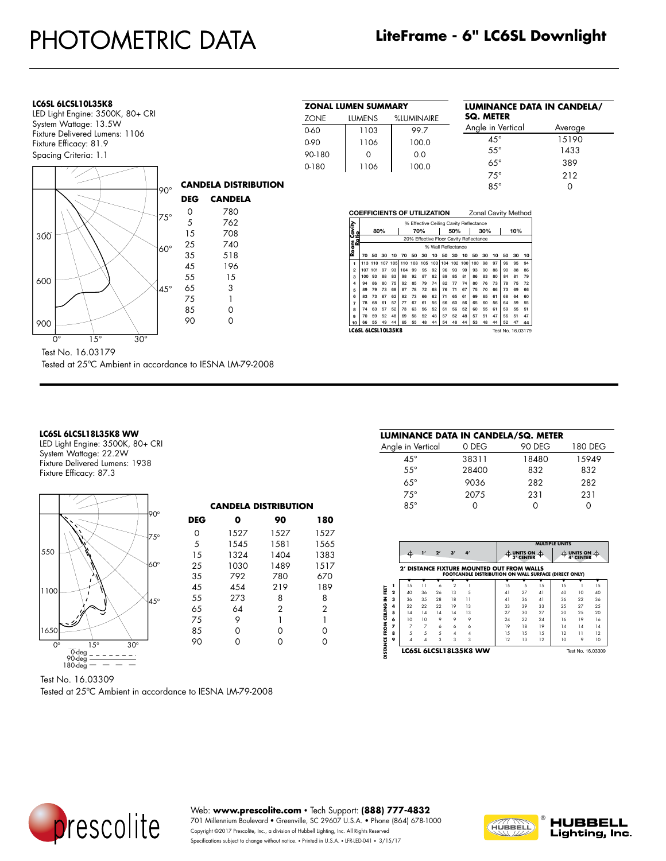| LC6SL 6LCSL10L35K8 |  |
|--------------------|--|
|                    |  |

LED Light Engine: 3500K, 80+ CRI System Wattage: 13.5W Fixture Delivered Lumens: 1106 Fixture Efficacy: 81.9 Spacing Criteria: 1.1



resi ino. 10.03179<br>Tested at 25°C Ambient in accordance to IESNA LM-79-2008 Test No. 16.03179

### LC6SL 6LCSL18L35K8 WW

LUMINAIRE: LC6LED735K8 WW- Production Sample

REFLECTOR : 9304089\*\*\*\*, Alluminum ,Clear Alzak Semi-Diffuse

LED Light Engine: 3500K, 80+ CRI System Wattage: 22.2W Fixture Delivered Lumens: 1938 Fixture Efficacy: 87.3



Test No. 16.03309

Tested at 25ºC Ambient in accordance to IESNA LM-79-2008

| ZONAL LUMEN SUMMARY |               |            |  |  |  |  |  |
|---------------------|---------------|------------|--|--|--|--|--|
| ZONE                | <b>LUMENS</b> | %LUMINAIRE |  |  |  |  |  |
| 0-60                | 1103          | 99.7       |  |  |  |  |  |
| 0-90                | 1106          | 100.0      |  |  |  |  |  |
| 90-180              | $\Omega$      | 0.0        |  |  |  |  |  |
| 0-180               | 1106          | 100.0      |  |  |  |  |  |

# **LUMINANCE DATA IN CANDELA/ SQ. METER** Angle in Vertical Average 45° 15190

| .<br>0 | .<br>0.0                     | $55^{\circ}$        | 1433 |
|--------|------------------------------|---------------------|------|
| 1106   | 100.0                        | $65^\circ$          | 389  |
|        |                              | $75^\circ$          | 212  |
|        |                              | $85^\circ$          | O    |
|        |                              |                     |      |
|        | OFFFICIENTS OF LITILIZATION: | Zonal Cavity Method |      |

|                      | .<br>Lonar ouvily iviolities            |         |     |     |     |     |     |     |     |     |     |     |     |    |    |    |    |
|----------------------|-----------------------------------------|---------|-----|-----|-----|-----|-----|-----|-----|-----|-----|-----|-----|----|----|----|----|
|                      | % Effective Ceiling Cavity Reflectance  |         |     |     |     |     |     |     |     |     |     |     |     |    |    |    |    |
| Room Cavity<br>Ratio | 80%                                     |         |     |     |     | 70% |     |     | 50% | 30% |     |     | 10% |    |    |    |    |
|                      | 20% Effective Floor Cavity Reflectance  |         |     |     |     |     |     |     |     |     |     |     |     |    |    |    |    |
|                      | % Wall Reflectance                      |         |     |     |     |     |     |     |     |     |     |     |     |    |    |    |    |
|                      | 70                                      | 50      | 30  | 10  | 70  | 50  | 30  | 10  | 50  | 30  | 10  | 50  | 30  | 10 | 50 | 30 | 10 |
| 1                    |                                         | 113 110 | 107 | 105 | 110 | 108 | 105 | 103 | 104 | 102 | 100 | 100 | 98  | 97 | 96 | 95 | 94 |
| $\overline{2}$       | 107                                     | 101     | 97  | 93  | 104 | 99  | 95  | 92  | 96  | 93  | 90  | 93  | 90  | 88 | 90 | 88 | 86 |
| $\mathbf{a}$         | 100                                     | 93      | 88  | 83  | 98  | 92  | 87  | 82  | 89  | 85  | 81  | 86  | 83  | 80 | 84 | 81 | 79 |
| $\overline{4}$       | 94                                      | 86      | 80  | 75  | 92  | 85  | 79  | 74  | 82  | 77  | 74  | 80  | 76  | 73 | 78 | 75 | 72 |
| 5                    | 89                                      | 79      | 73  | 68  | 87  | 78  | 72  | 68  | 76  | 71  | 67  | 75  | 70  | 66 | 73 | 69 | 66 |
| 6                    | 83                                      | 73      | 67  | 62  | 82  | 73  | 66  | 62  | 71  | 65  | 61  | 69  | 65  | 61 | 68 | 64 | 60 |
| 7                    | 78                                      | 68      | 61  | 57  | 77  | 67  | 61  | 56  | 66  | 60  | 56  | 65  | 60  | 56 | 64 | 59 | 55 |
| 8                    | 74                                      | 63      | 57  | 52  | 73  | 63  | 56  | 52  | 61  | 56  | 52  | 60  | 55  | 61 | 59 | 55 | 51 |
| 9                    | 70                                      | 59      | 52  | 48  | 69  | 58  | 52  | 48  | 57  | 52  | 48  | 57  | 51  | 47 | 56 | 51 | 47 |
| 10                   | 66                                      | 55      | 49  | 44  | 65  | 55  | 48  | 44  | 54  | 48  | 44  | 53  | 48  | 44 | 52 | 47 | 44 |
|                      | LC6SL 6LCSL10L35K8<br>Test No. 16.03179 |         |     |     |     |     |     |     |     |     |     |     |     |    |    |    |    |

| LUMINANCE DATA IN CANDELA/SQ. METER<br><b>90 DEG</b><br>180 DEG<br>15949<br>18480 |
|-----------------------------------------------------------------------------------|
|                                                                                   |
|                                                                                   |
|                                                                                   |
| 832<br>832                                                                        |
| 282<br>282                                                                        |
| 231<br>231                                                                        |
|                                                                                   |
|                                                                                   |

|                         | Æ                                                                                                   |                | 2 <sup>r</sup> | 3' | $\mathbf{A}^{\prime}$ |  |     | UNITS ON $\oplus$<br>3' CENTER |          | <b>MULTIPLE UNITS</b> | UNITS ON $\oplus$<br>4' CENTER |    |
|-------------------------|-----------------------------------------------------------------------------------------------------|----------------|----------------|----|-----------------------|--|-----|--------------------------------|----------|-----------------------|--------------------------------|----|
|                         | 2' DISTANCE FIXTURE MOUNTED OUT FROM WALLS<br>FOOTCANDLE DISTRIBUTION ON WALL SURFACE (DIRECT ONLY) |                |                |    |                       |  |     |                                |          |                       |                                |    |
|                         |                                                                                                     |                |                |    |                       |  |     |                                |          |                       |                                |    |
| 1                       | 15                                                                                                  | 11             | 6              | 2  |                       |  | 15  | 5                              | 15       | 15                    |                                | 15 |
| $\overline{\mathbf{2}}$ | 40                                                                                                  | 36             | 26             | 13 | 5                     |  | 41  | 27                             | $\Delta$ | 40                    | 10                             | 40 |
| $\overline{\mathbf{3}}$ | 36                                                                                                  | 3.5            | 28             | 18 | $\overline{11}$       |  | 41  | 36                             | $\Delta$ | 36                    | 22                             | 36 |
| 4                       | 22                                                                                                  | 22             | 22             | 19 | 13                    |  | 33  | 39                             | 33       | 25                    | 27                             | 25 |
| 5                       | 14                                                                                                  | 14             | 14             | 14 | 13                    |  | 27  | 30                             | 27       | 20                    | 25                             | 20 |
| 6                       | 10                                                                                                  | 10             | 9              | 9  | 9                     |  | 24  | 22                             | 24       | 16                    | 19                             | 16 |
| 7                       | 7                                                                                                   | $\overline{7}$ | 6              | 6  | 6                     |  | 19  | 18                             | 19       | 14                    | 14                             | 14 |
| 8                       | 5                                                                                                   | 5              | 5              | 4  | 4                     |  | 1.5 | 1.5                            | 1.5      | 12                    | 11                             | 12 |
| 9                       | Λ                                                                                                   | 4              | 3              | 3  | 3                     |  | 12  | 13                             | 12       | 10                    | 9                              | 10 |
|                         | LC6SL 6LCSL18L35K8 WW                                                                               |                |                |    |                       |  |     |                                |          |                       | Test No. 16.03309              |    |



Web: **www.prescolite.com** • Tech Support: **(888) 777-4832** 701 Millennium Boulevard • Greenville, SC 29607 U.S.A. • Phone (864) 678-1000

Copyright ©2017 Prescolite, Inc., a division of Hubbell Lighting, Inc. All Rights Reserved Specifications subject to change without notice. • Printed in U.S.A. • LFR-LED-041 • 3/15/17

**CANDELA DISTRIBUTION DEG 0 90 180** 0 1527 1527 1527 5 1545 1581 1565

25 1030 1489 1517 35 792 780 670 45 454 219 189 55 273 8 8 65 64 2 2 75 9 1 1 85 0 0 0 90 0 0 0

1324